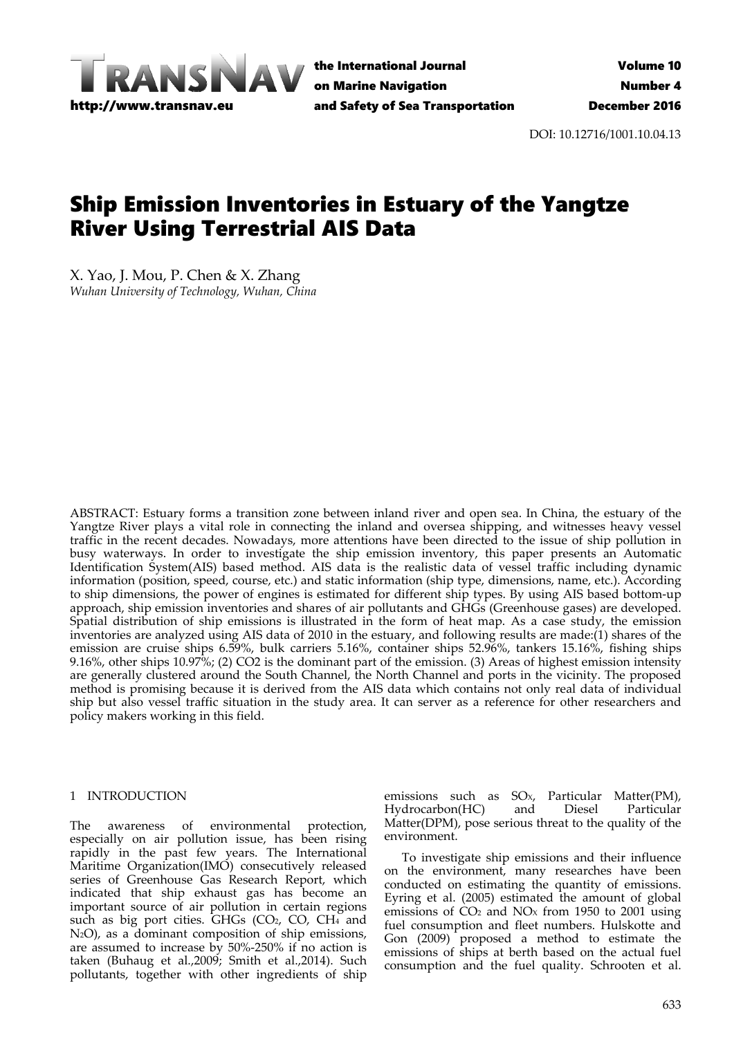

the International Journal on Marine Navigation and Safety of Sea Transportation

DOI: 10.12716/1001.10.04.13

# Ship Emission Inventories in Estuary of the Yangtze River Using Terrestrial AIS Data

X. Yao, J. Mou, P. Chen & X. Zhang *Wuhan University of Technology, Wuhan, China*

ABSTRACT: Estuary forms a transition zone between inland river and open sea. In China, the estuary of the Yangtze River plays a vital role in connecting the inland and oversea shipping, and witnesses heavy vessel traffic in the recent decades. Nowadays, more attentions have been directed to the issue of ship pollution in busy waterways. In order to investigate the ship emission inventory, this paper presents an Automatic Identification System(AIS) based method. AIS data is the realistic data of vessel traffic including dynamic information (position, speed, course, etc.) and static information (ship type, dimensions, name, etc.). According to ship dimensions, the power of engines is estimated for different ship types. By using AIS based bottom‐up approach, ship emission inventories and shares of air pollutants and GHGs (Greenhouse gases) are developed. Spatial distribution of ship emissions is illustrated in the form of heat map. As a case study, the emission inventories are analyzed using AIS data of 2010 in the estuary, and following results are made:(1) shares of the emission are cruise ships 6.59%, bulk carriers 5.16%, container ships 52.96%, tankers 15.16%, fishing ships 9.16%, other ships 10.97%; (2) CO2 is the dominant part of the emission. (3) Areas of highest emission intensity are generally clustered around the South Channel, the North Channel and ports in the vicinity. The proposed method is promising because it is derived from the AIS data which contains not only real data of individual ship but also vessel traffic situation in the study area. It can server as a reference for other researchers and policy makers working in this field.

# 1 INTRODUCTION

The awareness of environmental protection, especially on air pollution issue, has been rising rapidly in the past few years. The International Maritime Organization(IMO) consecutively released series of Greenhouse Gas Research Report, which indicated that ship exhaust gas has become an important source of air pollution in certain regions such as big port cities. GHGs (CO<sub>2</sub>, CO<sub>2</sub>, CH<sub>4</sub> and N2O), as a dominant composition of ship emissions, are assumed to increase by 50%‐250% if no action is taken (Buhaug et al.,2009; Smith et al.,2014). Such pollutants, together with other ingredients of ship

emissions such as SO<sub>x</sub>, Particular Matter(PM),<br>Hydrocarbon(HC) and Diesel Particular Hydrocarbon(HC) Matter(DPM), pose serious threat to the quality of the environment.

To investigate ship emissions and their influence on the environment, many researches have been conducted on estimating the quantity of emissions. Eyring et al. (2005) estimated the amount of global emissions of  $CO<sub>2</sub>$  and  $NO<sub>x</sub>$  from 1950 to 2001 using fuel consumption and fleet numbers. Hulskotte and Gon (2009) proposed a method to estimate the emissions of ships at berth based on the actual fuel consumption and the fuel quality. Schrooten et al.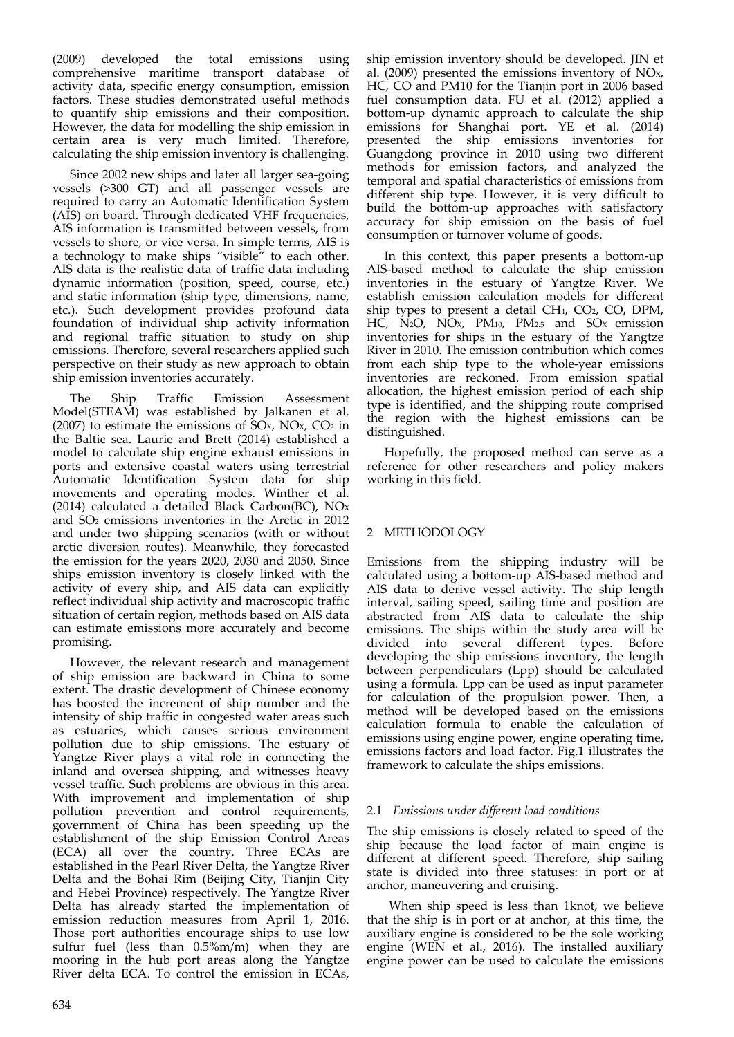(2009) developed the total emissions using comprehensive maritime transport database of activity data, specific energy consumption, emission factors. These studies demonstrated useful methods to quantify ship emissions and their composition. However, the data for modelling the ship emission in certain area is very much limited. Therefore, calculating the ship emission inventory is challenging.

Since 2002 new ships and later all larger sea‐going vessels (>300 GT) and all passenger vessels are required to carry an Automatic Identification System (AIS) on board. Through dedicated VHF frequencies, AIS information is transmitted between vessels, from vessels to shore, or vice versa. In simple terms, AIS is a technology to make ships "visible" to each other. AIS data is the realistic data of traffic data including dynamic information (position, speed, course, etc.) and static information (ship type, dimensions, name, etc.). Such development provides profound data foundation of individual ship activity information and regional traffic situation to study on ship emissions. Therefore, several researchers applied such perspective on their study as new approach to obtain ship emission inventories accurately.

The Ship Traffic Emission Assessment Model(STEAM) was established by Jalkanen et al. (2007) to estimate the emissions of  $SO<sub>x</sub>$ , NO<sub>x</sub>, CO<sub>2</sub> in the Baltic sea. Laurie and Brett (2014) established a model to calculate ship engine exhaust emissions in ports and extensive coastal waters using terrestrial Automatic Identification System data for ship movements and operating modes. Winther et al. (2014) calculated a detailed Black Carbon(BC),  $NOx$ and SO2 emissions inventories in the Arctic in 2012 and under two shipping scenarios (with or without arctic diversion routes). Meanwhile, they forecasted the emission for the years 2020, 2030 and 2050. Since ships emission inventory is closely linked with the activity of every ship, and AIS data can explicitly reflect individual ship activity and macroscopic traffic situation of certain region, methods based on AIS data can estimate emissions more accurately and become promising.

However, the relevant research and management of ship emission are backward in China to some extent. The drastic development of Chinese economy has boosted the increment of ship number and the intensity of ship traffic in congested water areas such as estuaries, which causes serious environment pollution due to ship emissions. The estuary of Yangtze River plays a vital role in connecting the inland and oversea shipping, and witnesses heavy vessel traffic. Such problems are obvious in this area. With improvement and implementation of ship pollution prevention and control requirements, government of China has been speeding up the establishment of the ship Emission Control Areas (ECA) all over the country. Three ECAs are established in the Pearl River Delta, the Yangtze River Delta and the Bohai Rim (Beijing City, Tianjin City and Hebei Province) respectively. The Yangtze River Delta has already started the implementation of emission reduction measures from April 1, 2016. Those port authorities encourage ships to use low sulfur fuel (less than  $0.5\%$ m/m) when they are mooring in the hub port areas along the Yangtze River delta ECA. To control the emission in ECAs,

ship emission inventory should be developed. JIN et al.  $(2009)$  presented the emissions inventory of NO<sub>x</sub>, HC, CO and PM10 for the Tianjin port in 2006 based fuel consumption data. FU et al. (2012) applied a bottom‐up dynamic approach to calculate the ship emissions for Shanghai port. YE et al. (2014) presented the ship emissions inventories for Guangdong province in 2010 using two different methods for emission factors, and analyzed the temporal and spatial characteristics of emissions from different ship type. However, it is very difficult to build the bottom‐up approaches with satisfactory accuracy for ship emission on the basis of fuel consumption or turnover volume of goods.

In this context, this paper presents a bottom‐up AIS‐based method to calculate the ship emission inventories in the estuary of Yangtze River. We establish emission calculation models for different ship types to present a detail  $CH<sub>4</sub>, CO<sub>2</sub>, CO, DPM,$ HC, N2O, NOX, PM10, PM2.5 and SOX emission inventories for ships in the estuary of the Yangtze River in 2010. The emission contribution which comes from each ship type to the whole‐year emissions inventories are reckoned. From emission spatial allocation, the highest emission period of each ship type is identified, and the shipping route comprised the region with the highest emissions can be distinguished.

Hopefully, the proposed method can serve as a reference for other researchers and policy makers working in this field.

# 2 METHODOLOGY

Emissions from the shipping industry will be calculated using a bottom‐up AIS‐based method and AIS data to derive vessel activity. The ship length interval, sailing speed, sailing time and position are abstracted from AIS data to calculate the ship emissions. The ships within the study area will be divided into several different types. Before developing the ship emissions inventory, the length between perpendiculars (Lpp) should be calculated using a formula. Lpp can be used as input parameter for calculation of the propulsion power. Then, a method will be developed based on the emissions calculation formula to enable the calculation of emissions using engine power, engine operating time, emissions factors and load factor. Fig.1 illustrates the framework to calculate the ships emissions.

## 2.1 *Emissions under different load conditions*

The ship emissions is closely related to speed of the ship because the load factor of main engine is different at different speed. Therefore, ship sailing state is divided into three statuses: in port or at anchor, maneuvering and cruising.

When ship speed is less than 1knot, we believe that the ship is in port or at anchor, at this time, the auxiliary engine is considered to be the sole working engine (WEN et al., 2016). The installed auxiliary engine power can be used to calculate the emissions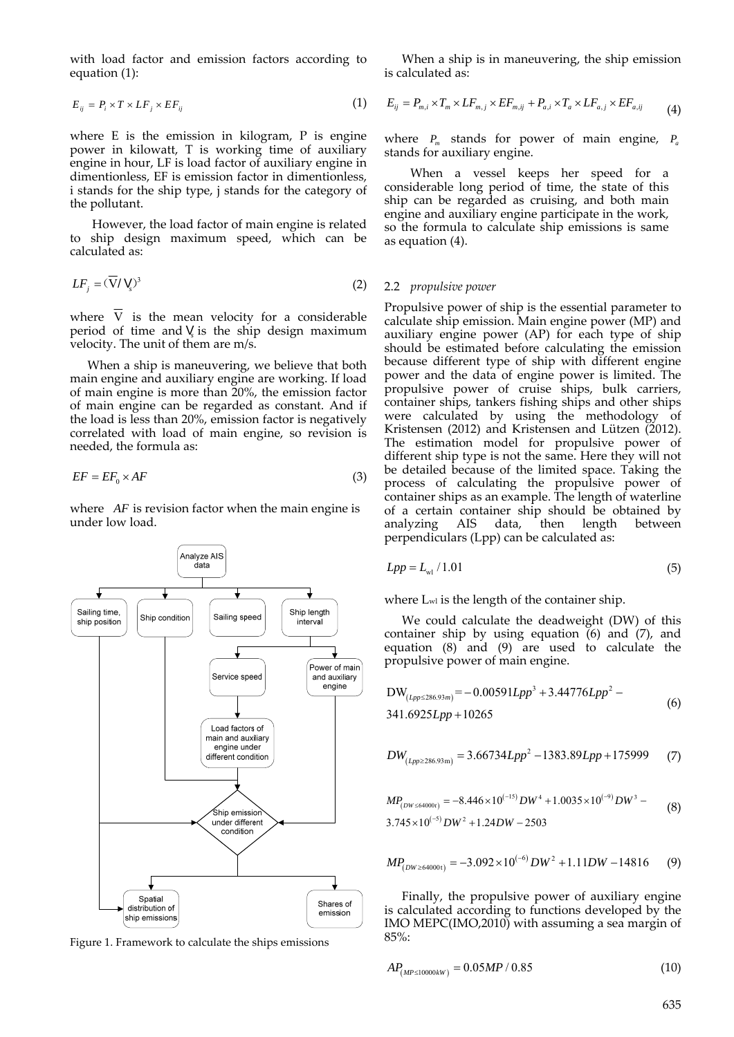with load factor and emission factors according to equation (1):

$$
E_{ij} = P_i \times T \times LF_j \times EF_{ij} \tag{1}
$$

where E is the emission in kilogram, P is engine power in kilowatt, T is working time of auxiliary engine in hour, LF is load factor of auxiliary engine in dimentionless, EF is emission factor in dimentionless, i stands for the ship type, j stands for the category of the pollutant.

However, the load factor of main engine is related to ship design maximum speed, which can be calculated as:

$$
LF_j = (\overline{V}/V_s)^3
$$
 (2)

where  $\overline{V}$  is the mean velocity for a considerable period of time and V is the ship design maximum velocity. The unit of them are m/s.

When a ship is maneuvering, we believe that both main engine and auxiliary engine are working. If load of main engine is more than 20%, the emission factor of main engine can be regarded as constant. And if the load is less than 20%, emission factor is negatively correlated with load of main engine, so revision is needed, the formula as:

$$
EF = EF_0 \times AF \tag{3}
$$

where *AF* is revision factor when the main engine is under low load.



Figure 1. Framework to calculate the ships emissions

When a ship is in maneuvering, the ship emission is calculated as:

$$
E_{ij} = P_{m,i} \times T_m \times LF_{m,j} \times EF_{m,ij} + P_{a,i} \times T_a \times LF_{a,j} \times EF_{a,ij}
$$
(4)

where *P<sub>m</sub>* stands for power of main engine, *P<sub>a</sub>* stands for auxiliary engine.

When a vessel keeps her speed for a considerable long period of time, the state of this ship can be regarded as cruising, and both main engine and auxiliary engine participate in the work, so the formula to calculate ship emissions is same as equation (4).

#### 2.2 *propulsive power*

Propulsive power of ship is the essential parameter to calculate ship emission. Main engine power (MP) and auxiliary engine power (AP) for each type of ship should be estimated before calculating the emission because different type of ship with different engine power and the data of engine power is limited. The propulsive power of cruise ships, bulk carriers, container ships, tankers fishing ships and other ships were calculated by using the methodology of Kristensen (2012) and Kristensen and Lützen (2012). The estimation model for propulsive power of different ship type is not the same. Here they will not be detailed because of the limited space. Taking the process of calculating the propulsive power of container ships as an example. The length of waterline of a certain container ship should be obtained by analyzing AIS data, then length between perpendiculars (Lpp) can be calculated as:

$$
Lpp = Lw1 / 1.01
$$
 (5)

where Lwl is the length of the container ship.

We could calculate the deadweight (DW) of this container ship by using equation (6) and (7), and equation  $(8)$  and  $(9)$  are used to calculate the propulsive power of main engine.

 3 2 DW = 0.00591 3.44776 286.93 341.6925 10265 *Lpp m Lpp Lpp Lpp* (6)

$$
DW_{(Lpp \ge 286.93\,\text{m})} = 3.66734 Lpp^2 - 1383.89 Lpp + 175999 \tag{7}
$$

$$
MP_{(DW \le 64000t)} = -8.446 \times 10^{(-15)} DW^4 + 1.0035 \times 10^{(-9)} DW^3 - 3.745 \times 10^{(-5)} DW^2 + 1.24 DW - 2503
$$
\n(8)

$$
MP_{(DW \ge 64000t)} = -3.092 \times 10^{(-6)} DW^2 + 1.11DW - 14816 \tag{9}
$$

Finally, the propulsive power of auxiliary engine is calculated according to functions developed by the IMO MEPC(IMO,2010) with assuming a sea margin of 85%:

$$
AP_{(MP \le 10000kW)} = 0.05MP / 0.85\tag{10}
$$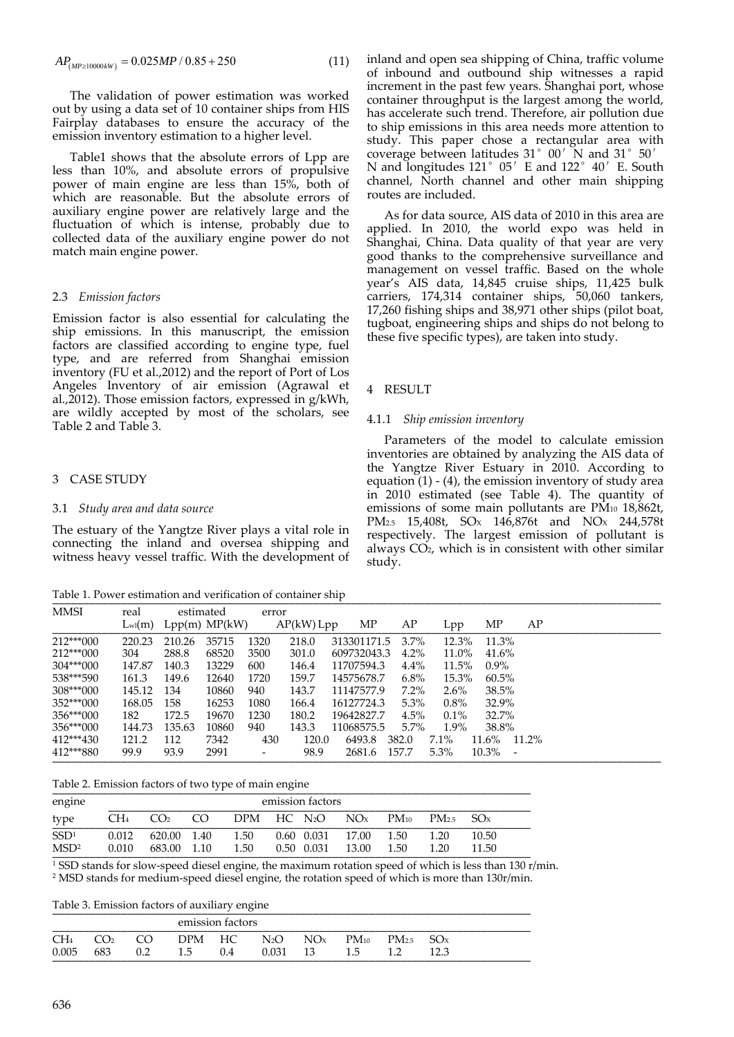$$
AP_{(MP \ge 10000kW)} = 0.025MP / 0.85 + 250
$$
\n(11)

The validation of power estimation was worked out by using a data set of 10 container ships from HIS Fairplay databases to ensure the accuracy of the emission inventory estimation to a higher level.

Table1 shows that the absolute errors of Lpp are less than 10%, and absolute errors of propulsive power of main engine are less than 15%, both of which are reasonable. But the absolute errors of auxiliary engine power are relatively large and the fluctuation of which is intense, probably due to collected data of the auxiliary engine power do not match main engine power.

## 2.3 *Emission factors*

Emission factor is also essential for calculating the ship emissions. In this manuscript, the emission factors are classified according to engine type, fuel type, and are referred from Shanghai emission inventory (FU et al.,2012) and the report of Port of Los Angeles Inventory of air emission (Agrawal et al.,2012). Those emission factors, expressed in g/kWh, are wildly accepted by most of the scholars, see Table 2 and Table 3.

# 3 CASE STUDY

### 3.1 *Study area and data source*

The estuary of the Yangtze River plays a vital role in connecting the inland and oversea shipping and witness heavy vessel traffic. With the development of

Table 1. Power estimation and verification of container ship

inland and open sea shipping of China, traffic volume of inbound and outbound ship witnesses a rapid increment in the past few years. Shanghai port, whose container throughput is the largest among the world, has accelerate such trend. Therefore, air pollution due to ship emissions in this area needs more attention to study. This paper chose a rectangular area with coverage between latitudes 31°00′N and 31°50′ N and longitudes 121°05′E and 122°40′E. South channel, North channel and other main shipping routes are included.

As for data source, AIS data of 2010 in this area are applied. In 2010, the world expo was held in Shanghai, China. Data quality of that year are very good thanks to the comprehensive surveillance and management on vessel traffic. Based on the whole year's AIS data, 14,845 cruise ships, 11,425 bulk carriers, 174,314 container ships, 50,060 tankers, 17,260 fishing ships and 38,971 other ships (pilot boat, tugboat, engineering ships and ships do not belong to these five specific types), are taken into study.

#### 4 RESULT

#### 4.1.1 *Ship emission inventory*

Parameters of the model to calculate emission inventories are obtained by analyzing the AIS data of the Yangtze River Estuary in 2010. According to equation  $(1)$  -  $(4)$ , the emission inventory of study area in 2010 estimated (see Table 4). The quantity of emissions of some main pollutants are PM<sub>10</sub> 18,862t, PM<sub>2.5</sub> 15,408t, SO<sub>x</sub> 146,876t and NO<sub>x</sub> 244,578t respectively. The largest emission of pollutant is always CO2, which is in consistent with other similar study.

| MMSI        | real            |        | estimated         | error                    |            |             |         |         |                   |    |
|-------------|-----------------|--------|-------------------|--------------------------|------------|-------------|---------|---------|-------------------|----|
|             | $L_{\rm w1}(m)$ |        | $Lpp(m)$ $MP(kW)$ |                          | AP(kW) Lpp | МP          | AP      | Lpp     | ΜP                | AP |
| $212***000$ | 220.23          | 210.26 | 35715             | 1320                     | 218.0      | 313301171.5 | 3.7%    | 12.3%   | 11.3%             |    |
| $212***000$ | 304             | 288.8  | 68520             | 3500                     | 301.0      | 609732043.3 | 4.2%    | 11.0%   | 41.6%             |    |
| $304***000$ | 147.87          | 140.3  | 13229             | 600                      | 146.4      | 11707594.3  | 4.4%    | 11.5%   | $0.9\%$           |    |
| 538***590   | 161.3           | 149.6  | 12640             | 1720                     | 159.7      | 14575678.7  | 6.8%    | 15.3%   | 60.5%             |    |
| 308***000   | 145.12          | 134    | 10860             | 940                      | 143.7      | 11147577.9  | $7.2\%$ | $2.6\%$ | 38.5%             |    |
| $352***000$ | 168.05          | 158    | 16253             | 1080                     | 166.4      | 16127724.3  | 5.3%    | $0.8\%$ | 32.9%             |    |
| 356***000   | 182             | 172.5  | 19670             | 1230                     | 180.2      | 19642827.7  | 4.5%    | $0.1\%$ | 32.7%             |    |
| $356***000$ | 144.73          | 135.63 | 10860             | 940                      | 143.3      | 11068575.5  | $5.7\%$ | $1.9\%$ | 38.8%             |    |
| $412***430$ | 121.2           | 112    | 7342              | 430                      | 120.0      | 6493.8      | 382.0   | $7.1\%$ | $11.6\%$ $11.2\%$ |    |
| 412***880   | 99.9            | 93.9   | 2991              | $\overline{\phantom{a}}$ | 98.9       | 2681.6      | 157.7   | $5.3\%$ | $10.3\%$ -        |    |

Table 2. Emission factors of two type of main engine

| engine                               |                 |                            |     |              | emission factors |                                     |           |                           |                |  |
|--------------------------------------|-----------------|----------------------------|-----|--------------|------------------|-------------------------------------|-----------|---------------------------|----------------|--|
| type                                 | CH <sub>4</sub> | CO <sub>2</sub>            | CO. |              |                  | $DPM$ HC $N_2O$ $NOx$               | $PM_{10}$ | $PM_{25}$ SO <sub>x</sub> |                |  |
| SSD <sup>1</sup><br>MSD <sup>2</sup> | 0.012<br>0.010  | 620.00 1.40<br>683.00 1.10 |     | 1.50<br>1.50 | 0.50 0.031       | 0.60 0.031 17.00 1.50<br>13.00 1.50 |           | 1.20<br>1.20              | 10.50<br>11.50 |  |

<sup>1</sup> SSD stands for slow‐speed diesel engine, the maximum rotation speed of which is less than 130 r/min. <sup>2</sup> MSD stands for medium‐speed diesel engine, the rotation speed of which is more than 130r/min.

Table 3. Emission factors of auxiliary engine

| DPM HC $N_2O$ $NOx$<br>$C\Omega$<br>$PM_{10}$<br>$PM_{25}$ SO <sub>x</sub><br>683 0.2 1.5<br>15 12 |                          |  | emission factors |     |          |  |                 |
|----------------------------------------------------------------------------------------------------|--------------------------|--|------------------|-----|----------|--|-----------------|
|                                                                                                    | CH <sub>4</sub><br>0.005 |  |                  | 0.4 | 0.031 13 |  | 12 <sup>3</sup> |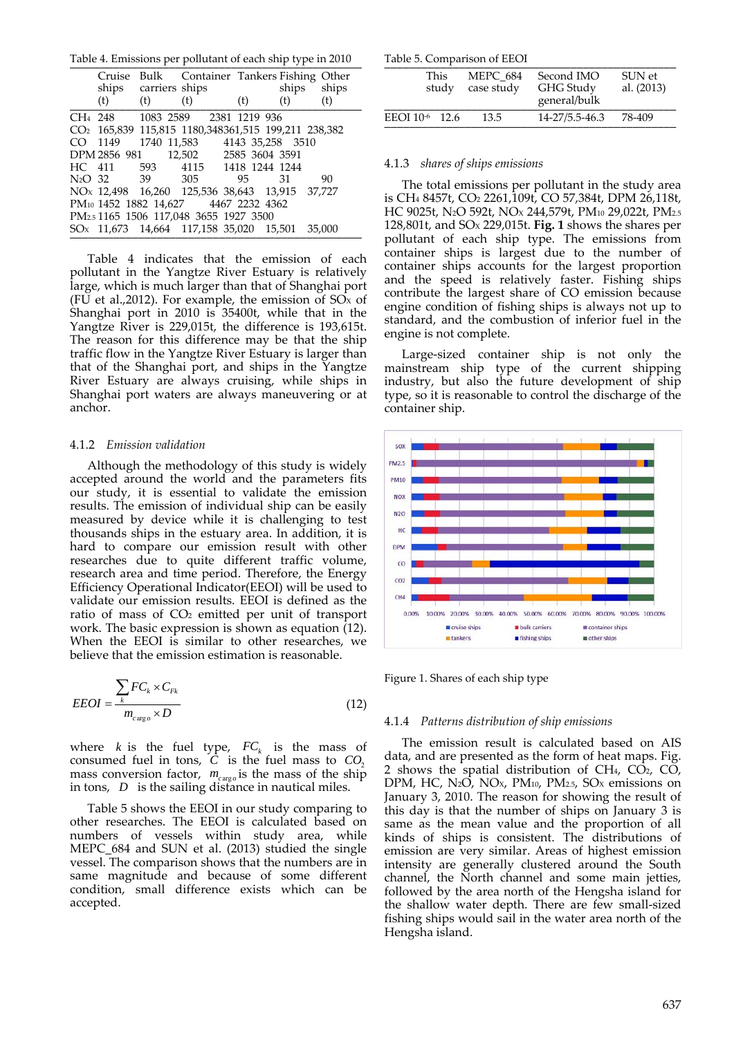Table 4. Emissions per pollutant of each ship type in 2010

|         |     | Cruise Bulk Container Tankers Fishing Other                     |     |       |       |
|---------|-----|-----------------------------------------------------------------|-----|-------|-------|
|         |     | ships carriers ships                                            |     | ships | ships |
| (t)     | (t) | (t)                                                             | (t) | (t)   | (t)   |
|         |     | CH <sub>4</sub> 248 1083 2589 2381 1219 936                     |     |       |       |
|         |     | CO <sub>2</sub> 165,839 115,815 1180,348361,515 199,211 238,382 |     |       |       |
| CO 1149 |     | 1740 11,583 4143 35,258 3510                                    |     |       |       |
|         |     | DPM 2856 981 12,502 2585 3604 3591                              |     |       |       |
|         |     | HC 411 593 4115 1418 1244 1244                                  |     |       |       |
|         |     | N <sub>2</sub> O 32 39 305 95 31                                |     |       | 90    |
|         |     | NO <sub>x</sub> 12,498 16,260 125,536 38,643 13,915 37,727      |     |       |       |
|         |     | PM <sub>10</sub> 1452 1882 14,627 4467 2232 4362                |     |       |       |
|         |     | PM <sub>2.5</sub> 1165 1506 117,048 3655 1927 3500              |     |       |       |
|         |     | SO <sub>x</sub> 11,673 14,664 117,158 35,020 15,501 35,000      |     |       |       |
|         |     |                                                                 |     |       |       |

Table 4 indicates that the emission of each pollutant in the Yangtze River Estuary is relatively large, which is much larger than that of Shanghai port (FU et al., 2012). For example, the emission of  $SO<sub>x</sub>$  of Shanghai port in 2010 is 35400t, while that in the Yangtze River is 229,015t, the difference is 193,615t. The reason for this difference may be that the ship traffic flow in the Yangtze River Estuary is larger than that of the Shanghai port, and ships in the Yangtze River Estuary are always cruising, while ships in Shanghai port waters are always maneuvering or at anchor.

#### 4.1.2 *Emission validation*

Although the methodology of this study is widely accepted around the world and the parameters fits our study, it is essential to validate the emission results. The emission of individual ship can be easily measured by device while it is challenging to test thousands ships in the estuary area. In addition, it is hard to compare our emission result with other researches due to quite different traffic volume, research area and time period. Therefore, the Energy Efficiency Operational Indicator(EEOI) will be used to validate our emission results. EEOI is defined as the ratio of mass of CO2 emitted per unit of transport work. The basic expression is shown as equation (12). When the EEOI is similar to other researches, we believe that the emission estimation is reasonable.

$$
EEOI = \frac{\sum_{k} FC_{k} \times C_{Fk}}{m_{carg,o} \times D}
$$
\n(12)

where *k* is the fuel type,  $FC_k$  is the mass of consumed fuel in tons,  $\overline{C}$  is the fuel mass to  $CO<sub>2</sub>$ mass conversion factor,  $m_{cargo}$  is the mass of the ship in tons, *D* is the sailing distance in nautical miles.

Table 5 shows the EEOI in our study comparing to other researches. The EEOI is calculated based on numbers of vessels within study area, while MEPC\_684 and SUN et al. (2013) studied the single vessel. The comparison shows that the numbers are in same magnitude and because of some different condition, small difference exists which can be accepted.

Table 5. Comparison of EEOI \_\_\_\_\_\_\_\_\_\_\_\_\_\_\_\_\_\_\_\_\_\_\_\_\_\_\_\_\_\_\_\_\_\_\_\_\_\_\_\_\_\_\_\_\_\_\_

| This<br>study              | <b>MEPC 684</b><br>case study | Second IMO<br>GHG Study<br>general/bulk | SUN et<br>al. (2013) |
|----------------------------|-------------------------------|-----------------------------------------|----------------------|
| EEOI 10 <sup>-6</sup> 12.6 | 13.5                          | 14-27/5.5-46.3                          | 78-409               |

#### 4.1.3 *shares of ships emissions*

The total emissions per pollutant in the study area is CH4 8457t, CO2 2261,109t, CO 57,384t, DPM 26,118t, HC 9025t, N2O 592t, NOX 244,579t, PM10 29,022t, PM2.5 128,801t, and SOX 229,015t. **Fig. 1** shows the shares per pollutant of each ship type. The emissions from container ships is largest due to the number of container ships accounts for the largest proportion and the speed is relatively faster. Fishing ships contribute the largest share of CO emission because engine condition of fishing ships is always not up to standard, and the combustion of inferior fuel in the engine is not complete.

Large‐sized container ship is not only the mainstream ship type of the current shipping industry, but also the future development of ship type, so it is reasonable to control the discharge of the container ship.



Figure 1. Shares of each ship type

#### 4.1.4 *Patterns distribution of ship emissions*

The emission result is calculated based on AIS data, and are presented as the form of heat maps. Fig. 2 shows the spatial distribution of  $CH<sub>4</sub>, CO<sub>2</sub>, CO<sub>2</sub>$ DPM, HC, N<sub>2</sub>O, NO<sub>x</sub>, PM<sub>10</sub>, PM<sub>2.5</sub>, SO<sub>x</sub> emissions on January 3, 2010. The reason for showing the result of this day is that the number of ships on January 3 is same as the mean value and the proportion of all kinds of ships is consistent. The distributions of emission are very similar. Areas of highest emission intensity are generally clustered around the South channel, the North channel and some main jetties, followed by the area north of the Hengsha island for the shallow water depth. There are few small‐sized fishing ships would sail in the water area north of the Hengsha island.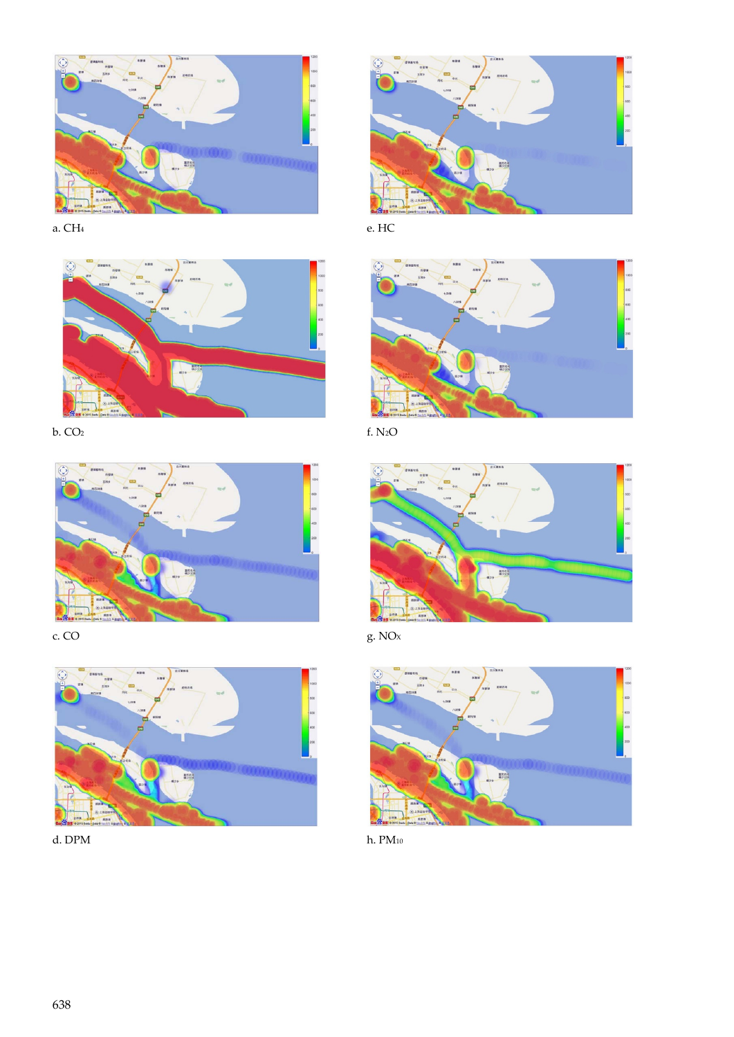

a. CH4



b. CO2











e. HC



f. N2O







h. PM10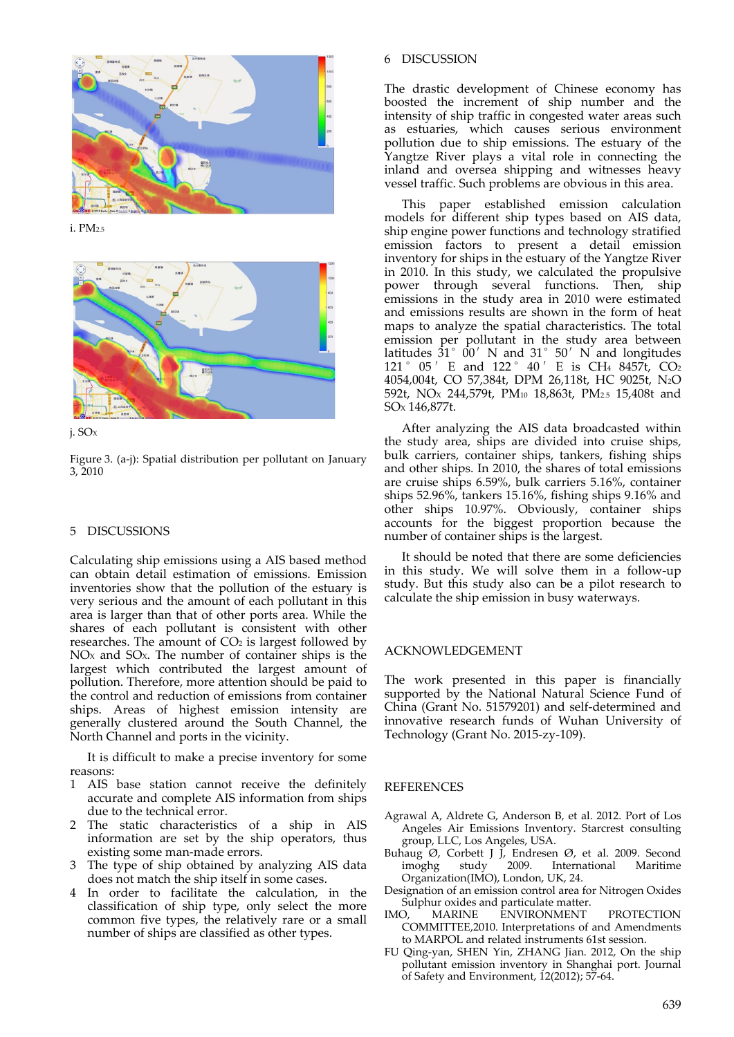

i. PM2.5





Figure 3. (a‐j): Spatial distribution per pollutant on January 3, 2010

# 5 DISCUSSIONS

Calculating ship emissions using a AIS based method can obtain detail estimation of emissions. Emission inventories show that the pollution of the estuary is very serious and the amount of each pollutant in this area is larger than that of other ports area. While the shares of each pollutant is consistent with other researches. The amount of  $CO<sub>2</sub>$  is largest followed by NOX and SOX. The number of container ships is the largest which contributed the largest amount of pollution. Therefore, more attention should be paid to the control and reduction of emissions from container ships. Areas of highest emission intensity are generally clustered around the South Channel, the North Channel and ports in the vicinity.

It is difficult to make a precise inventory for some reasons:

- 1 AIS base station cannot receive the definitely accurate and complete AIS information from ships due to the technical error.
- 2 The static characteristics of a ship in AIS information are set by the ship operators, thus existing some man‐made errors.
- 3 The type of ship obtained by analyzing AIS data does not match the ship itself in some cases.
- 4 In order to facilitate the calculation, in the classification of ship type, only select the more common five types, the relatively rare or a small number of ships are classified as other types.

# 6 DISCUSSION

The drastic development of Chinese economy has boosted the increment of ship number and the intensity of ship traffic in congested water areas such as estuaries, which causes serious environment pollution due to ship emissions. The estuary of the Yangtze River plays a vital role in connecting the inland and oversea shipping and witnesses heavy vessel traffic. Such problems are obvious in this area.

This paper established emission calculation models for different ship types based on AIS data, ship engine power functions and technology stratified emission factors to present a detail emission inventory for ships in the estuary of the Yangtze River in 2010. In this study, we calculated the propulsive power through several functions. Then, ship emissions in the study area in 2010 were estimated and emissions results are shown in the form of heat maps to analyze the spatial characteristics. The total emission per pollutant in the study area between latitudes  $31^\circ$   $00'$  N and  $31^\circ$   $50'$  N and longitudes 121°05′E and 122°40′E is CH4 8457t, CO2 4054,004t, CO 57,384t, DPM 26,118t, HC 9025t, N2O 592t, NOX 244,579t, PM10 18,863t, PM2.5 15,408t and SOX 146,877t.

After analyzing the AIS data broadcasted within the study area, ships are divided into cruise ships, bulk carriers, container ships, tankers, fishing ships and other ships. In 2010, the shares of total emissions are cruise ships 6.59%, bulk carriers 5.16%, container ships 52.96%, tankers 15.16%, fishing ships 9.16% and other ships 10.97%. Obviously, container ships accounts for the biggest proportion because the number of container ships is the largest.

It should be noted that there are some deficiencies in this study. We will solve them in a follow‐up study. But this study also can be a pilot research to calculate the ship emission in busy waterways.

# ACKNOWLEDGEMENT

The work presented in this paper is financially supported by the National Natural Science Fund of China (Grant No. 51579201) and self‐determined and innovative research funds of Wuhan University of Technology (Grant No. 2015‐zy‐109).

## REFERENCES

- Agrawal A, Aldrete G, Anderson B, et al. 2012. Port of Los Angeles Air Emissions Inventory. Starcrest consulting group, LLC, Los Angeles, USA.
- Buhaug  $\varnothing$ , Corbett J J, Endresen  $\varnothing$ , et al. 2009. Second<br>imoghe study 2009. International Maritime imoghg study 2009. International Organization(IMO), London, UK, 24.
- Designation of an emission control area for Nitrogen Oxides Sulphur oxides and particulate matter.
- IMO, MARINE ENVIRONMENT PROTECTION COMMITTEE,2010. Interpretations of and Amendments to MARPOL and related instruments 61st session.
- FU Qing‐yan, SHEN Yin, ZHANG Jian. 2012, On the ship pollutant emission inventory in Shanghai port. Journal of Safety and Environment, 12(2012); 57‐64.